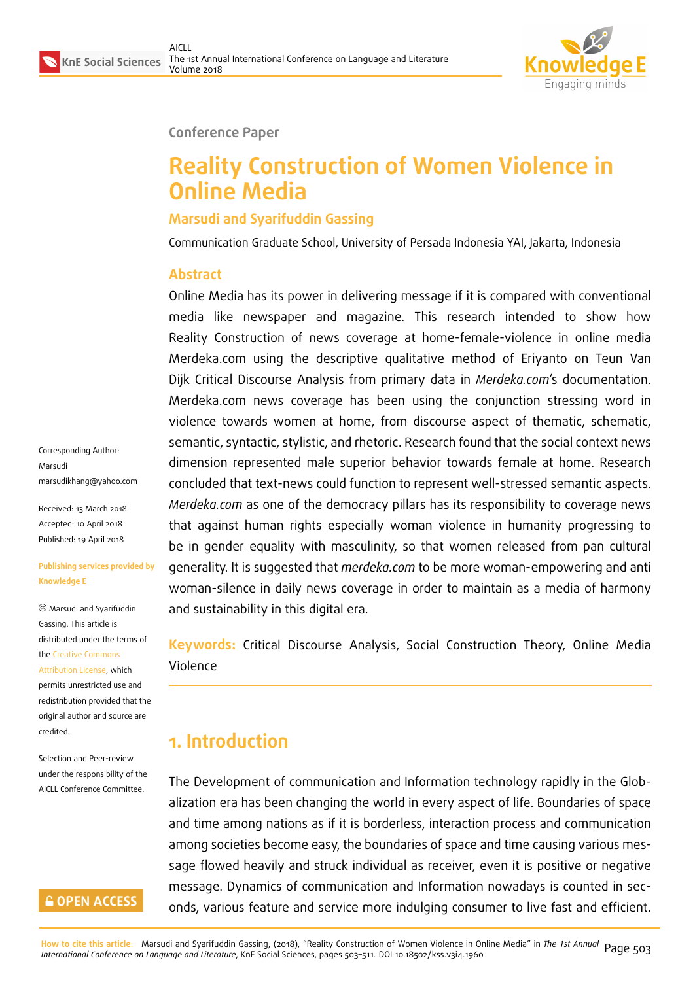

#### **Conference Paper**

# **Reality Construction of Women Violence in Online Media**

#### **Marsudi and Syarifuddin Gassing**

Communication Graduate School, University of Persada Indonesia YAI, Jakarta, Indonesia

#### **Abstract**

Online Media has its power in delivering message if it is compared with conventional media like newspaper and magazine. This research intended to show how Reality Construction of news coverage at home-female-violence in online media Merdeka.com using the descriptive qualitative method of Eriyanto on Teun Van Dijk Critical Discourse Analysis from primary data in *Merdeka.com*'s documentation. Merdeka.com news coverage has been using the conjunction stressing word in violence towards women at home, from discourse aspect of thematic, schematic, semantic, syntactic, stylistic, and rhetoric. Research found that the social context news dimension represented male superior behavior towards female at home. Research concluded that text-news could function to represent well-stressed semantic aspects. *Merdeka.com* as one of the democracy pillars has its responsibility to coverage news that against human rights especially woman violence in humanity progressing to be in gender equality with masculinity, so that women released from pan cultural generality. It is suggested that *merdeka.com* to be more woman-empowering and anti woman-silence in daily news coverage in order to maintain as a media of harmony and sustainability in this digital era.

**Keywords:** Critical Discourse Analysis, Social Construction Theory, Online Media Violence

# **1. Introduction**

The Development of communication and Information technology rapidly in the Globalization era has been changing the world in every aspect of life. Boundaries of space and time among nations as if it is borderless, interaction process and communication among societies become easy, the boundaries of space and time causing various message flowed heavily and struck individual as receiver, even it is positive or negative message. Dynamics of communication and Information nowadays is counted in seconds, various feature and service more indulging consumer to live fast and efficient.

Corresponding Author: Marsudi marsudikhang@yahoo.com

Received: 13 March 2018 Accepted: 10 April 2018 [Published: 19 April 2018](mailto:marsudikhang@yahoo.com)

#### **Publishing services provided by Knowledge E**

Marsudi and Syarifuddin Gassing. This article is distributed under the terms of the Creative Commons

Attribution License, which permits unrestricted use and redistribution provided that the ori[ginal author and sou](https://creativecommons.org/licenses/by/4.0/)rce are [credited.](https://creativecommons.org/licenses/by/4.0/)

Selection and Peer-review under the responsibility of the AICLL Conference Committee.

#### **GOPEN ACCESS**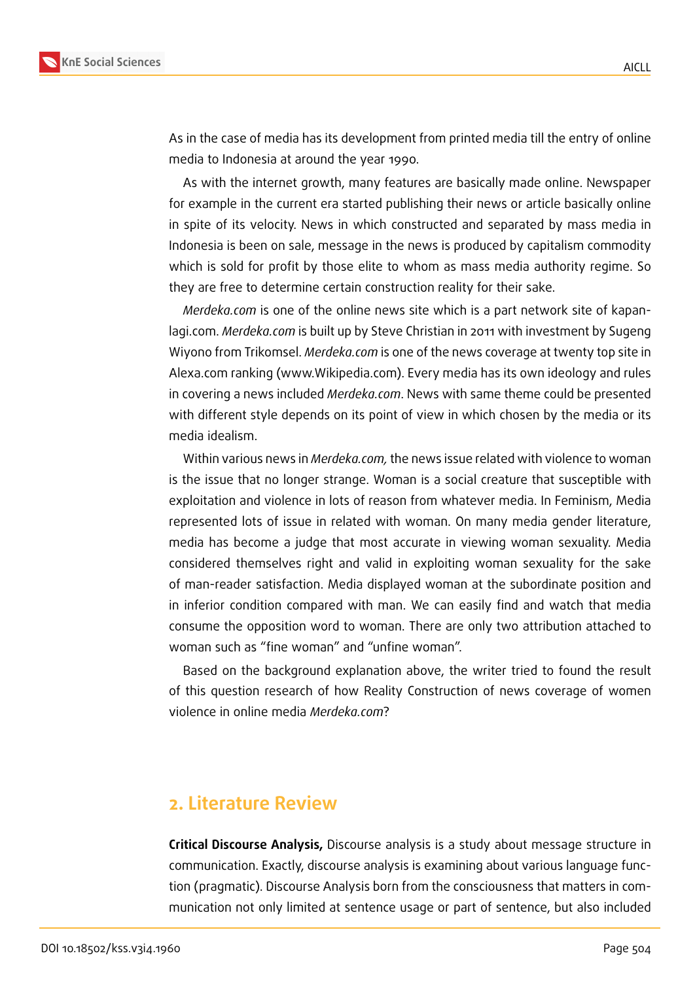

As in the case of media has its development from printed media till the entry of online media to Indonesia at around the year 1990.

As with the internet growth, many features are basically made online. Newspaper for example in the current era started publishing their news or article basically online in spite of its velocity. News in which constructed and separated by mass media in Indonesia is been on sale, message in the news is produced by capitalism commodity which is sold for profit by those elite to whom as mass media authority regime. So they are free to determine certain construction reality for their sake.

*Merdeka.com* is one of the online news site which is a part network site of kapanlagi.com. *Merdeka.com* is built up by Steve Christian in 2011 with investment by Sugeng Wiyono from Trikomsel. *Merdeka.com* is one of the news coverage at twenty top site in Alexa.com ranking (www.Wikipedia.com). Every media has its own ideology and rules in covering a news included *Merdeka.com*. News with same theme could be presented with different style depends on its point of view in which chosen by the media or its media idealism.

Within various news in *Merdeka.com,* the news issue related with violence to woman is the issue that no longer strange. Woman is a social creature that susceptible with exploitation and violence in lots of reason from whatever media. In Feminism, Media represented lots of issue in related with woman. On many media gender literature, media has become a judge that most accurate in viewing woman sexuality. Media considered themselves right and valid in exploiting woman sexuality for the sake of man-reader satisfaction. Media displayed woman at the subordinate position and in inferior condition compared with man. We can easily find and watch that media consume the opposition word to woman. There are only two attribution attached to woman such as "fine woman" and "unfine woman".

Based on the background explanation above, the writer tried to found the result of this question research of how Reality Construction of news coverage of women violence in online media *Merdeka.com*?

## **2. Literature Review**

**Critical Discourse Analysis,** Discourse analysis is a study about message structure in communication. Exactly, discourse analysis is examining about various language function (pragmatic). Discourse Analysis born from the consciousness that matters in communication not only limited at sentence usage or part of sentence, but also included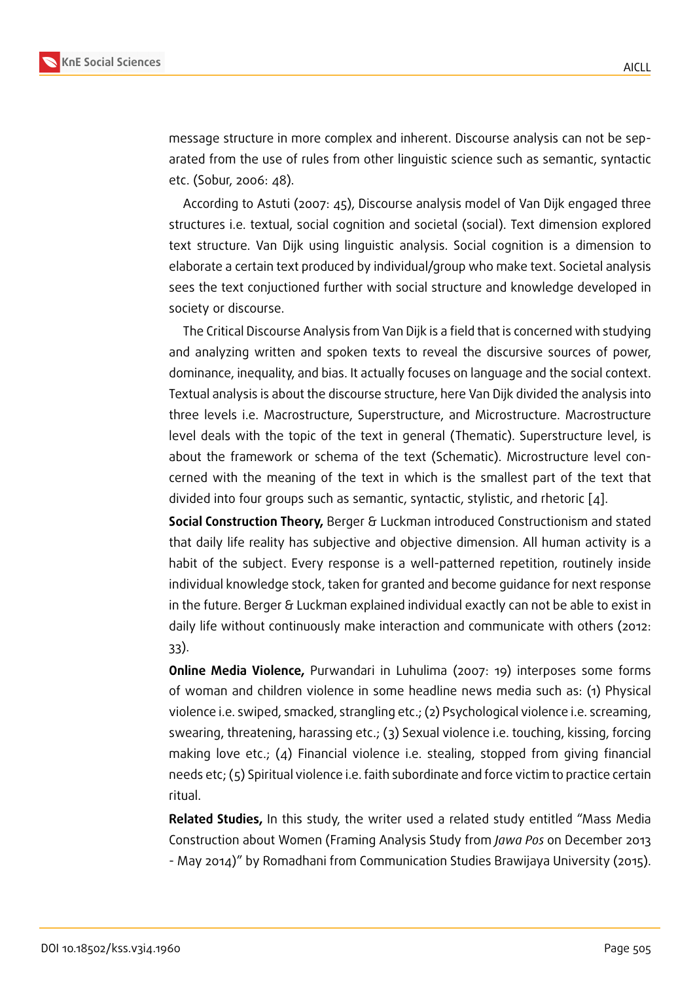message structure in more complex and inherent. Discourse analysis can not be separated from the use of rules from other linguistic science such as semantic, syntactic etc. (Sobur, 2006: 48).

According to Astuti (2007: 45), Discourse analysis model of Van Dijk engaged three structures i.e. textual, social cognition and societal (social). Text dimension explored text structure. Van Dijk using linguistic analysis. Social cognition is a dimension to elaborate a certain text produced by individual/group who make text. Societal analysis sees the text conjuctioned further with social structure and knowledge developed in society or discourse.

The Critical Discourse Analysis from Van Dijk is a field that is concerned with studying and analyzing written and spoken texts to reveal the discursive sources of power, dominance, inequality, and bias. It actually focuses on language and the social context. Textual analysis is about the discourse structure, here Van Dijk divided the analysis into three levels i.e. Macrostructure, Superstructure, and Microstructure. Macrostructure level deals with the topic of the text in general (Thematic). Superstructure level, is about the framework or schema of the text (Schematic). Microstructure level concerned with the meaning of the text in which is the smallest part of the text that divided into four groups such as semantic, syntactic, stylistic, and rhetoric [4].

**Social Construction Theory,** Berger & Luckman introduced Constructionism and stated that daily life reality has subjective and objective dimension. All human activity is a habit of the subject. Every response is a well-patterned repetition, routi[ne](#page-8-0)ly inside individual knowledge stock, taken for granted and become guidance for next response in the future. Berger & Luckman explained individual exactly can not be able to exist in daily life without continuously make interaction and communicate with others (2012: 33).

**Online Media Violence,** Purwandari in Luhulima (2007: 19) interposes some forms of woman and children violence in some headline news media such as: (1) Physical violence i.e. swiped, smacked, strangling etc.; (2) Psychological violence i.e. screaming, swearing, threatening, harassing etc.; (3) Sexual violence i.e. touching, kissing, forcing making love etc.; (4) Financial violence i.e. stealing, stopped from giving financial needs etc; (5) Spiritual violence i.e. faith subordinate and force victim to practice certain ritual.

**Related Studies,** In this study, the writer used a related study entitled "Mass Media Construction about Women (Framing Analysis Study from *Jawa Pos* on December 2013 - May 2014)" by Romadhani from Communication Studies Brawijaya University (2015).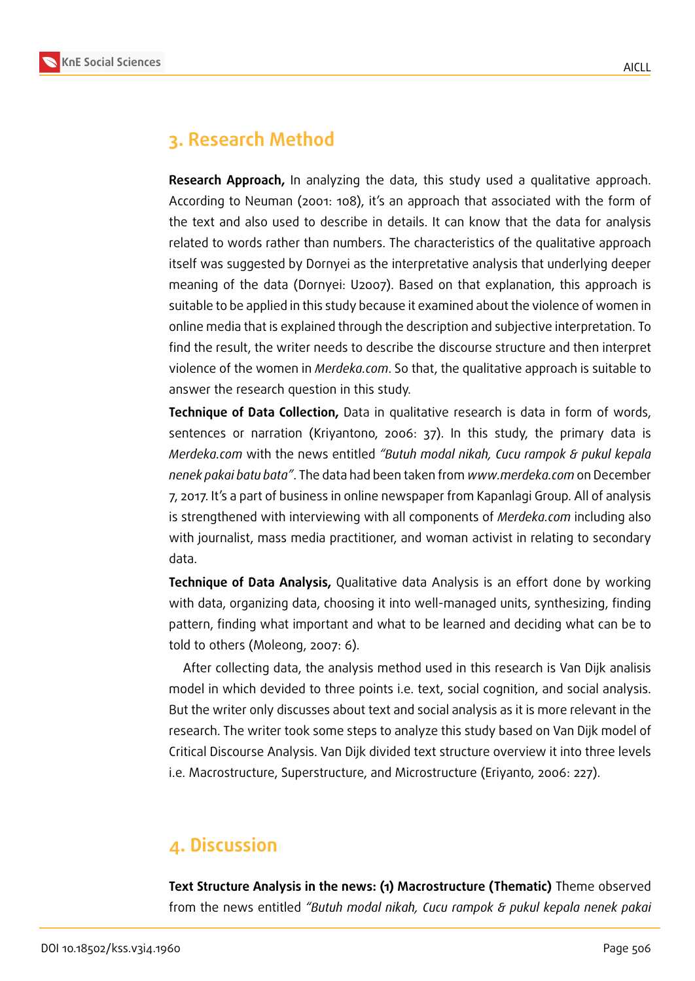

# **3. Research Method**

**Research Approach,** In analyzing the data, this study used a qualitative approach. According to Neuman (2001: 108), it's an approach that associated with the form of the text and also used to describe in details. It can know that the data for analysis related to words rather than numbers. The characteristics of the qualitative approach itself was suggested by Dornyei as the interpretative analysis that underlying deeper meaning of the data (Dornyei: U2007). Based on that explanation, this approach is suitable to be applied in this study because it examined about the violence of women in online media that is explained through the description and subjective interpretation. To find the result, the writer needs to describe the discourse structure and then interpret violence of the women in *Merdeka.com*. So that, the qualitative approach is suitable to answer the research question in this study.

**Technique of Data Collection,** Data in qualitative research is data in form of words, sentences or narration (Kriyantono, 2006: 37). In this study, the primary data is *Merdeka.com* with the news entitled *"Butuh modal nikah, Cucu rampok & pukul kepala nenek pakai batu bata"*. The data had been taken from *www.merdeka.com* on December 7, 2017. It's a part of business in online newspaper from Kapanlagi Group. All of analysis is strengthened with interviewing with all components of *Merdeka.com* including also with journalist, mass media practitioner, and woman activist in relating to secondary data.

**Technique of Data Analysis,** Qualitative data Analysis is an effort done by working with data, organizing data, choosing it into well-managed units, synthesizing, finding pattern, finding what important and what to be learned and deciding what can be to told to others (Moleong, 2007: 6).

After collecting data, the analysis method used in this research is Van Dijk analisis model in which devided to three points i.e. text, social cognition, and social analysis. But the writer only discusses about text and social analysis as it is more relevant in the research. The writer took some steps to analyze this study based on Van Dijk model of Critical Discourse Analysis. Van Dijk divided text structure overview it into three levels i.e. Macrostructure, Superstructure, and Microstructure (Eriyanto, 2006: 227).

## **4. Discussion**

**Text Structure Analysis in the news: (1) Macrostructure (Thematic)** Theme observed from the news entitled *"Butuh modal nikah, Cucu rampok & pukul kepala nenek pakai*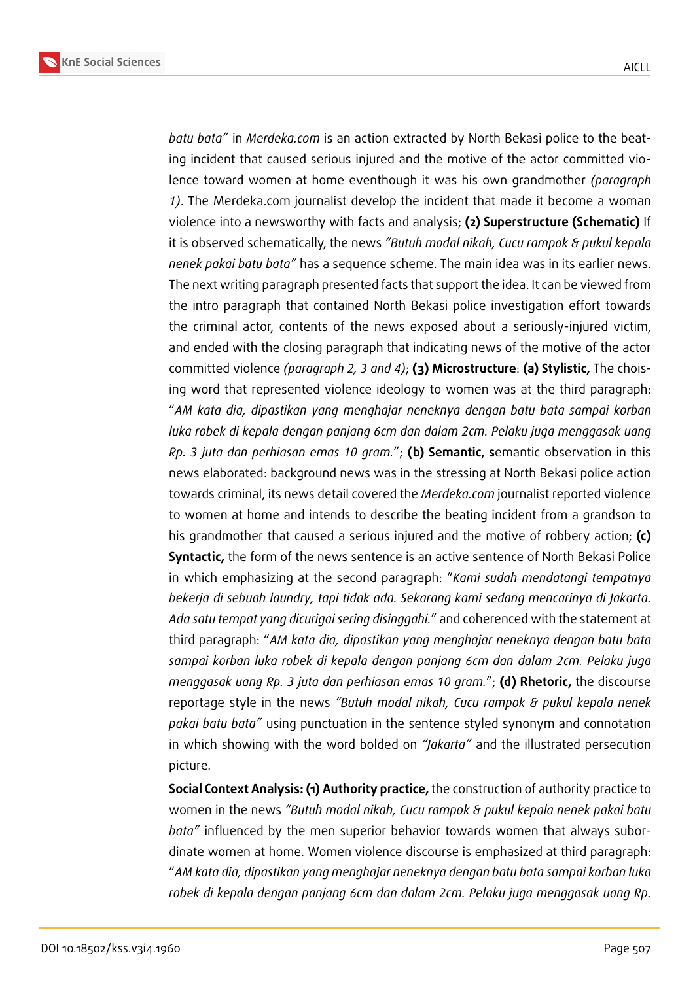

*batu bata"* in *Merdeka.com* is an action extracted by North Bekasi police to the beating incident that caused serious injured and the motive of the actor committed violence toward women at home eventhough it was his own grandmother *(paragraph 1)*. The Merdeka.com journalist develop the incident that made it become a woman violence into a newsworthy with facts and analysis; **(2) Superstructure (Schematic)** If it is observed schematically, the news *"Butuh modal nikah, Cucu rampok & pukul kepala nenek pakai batu bata"* has a sequence scheme. The main idea was in its earlier news. The next writing paragraph presented facts that support the idea. It can be viewed from the intro paragraph that contained North Bekasi police investigation effort towards the criminal actor, contents of the news exposed about a seriously-injured victim, and ended with the closing paragraph that indicating news of the motive of the actor committed violence *(paragraph 2, 3 and 4)*; **(3) Microstructure**: **(a) Stylistic,** The choising word that represented violence ideology to women was at the third paragraph: "*AM kata dia, dipastikan yang menghajar neneknya dengan batu bata sampai korban luka robek di kepala dengan panjang 6cm dan dalam 2cm. Pelaku juga menggasak uang Rp. 3 juta dan perhiasan emas 10 gram.*"; **(b) Semantic, s**emantic observation in this news elaborated: background news was in the stressing at North Bekasi police action towards criminal, its news detail covered the *Merdeka.com* journalist reported violence to women at home and intends to describe the beating incident from a grandson to his grandmother that caused a serious injured and the motive of robbery action; **(c) Syntactic,** the form of the news sentence is an active sentence of North Bekasi Police in which emphasizing at the second paragraph: "*Kami sudah mendatangi tempatnya bekerja di sebuah laundry, tapi tidak ada. Sekarang kami sedang mencarinya di Jakarta. Ada satu tempat yang dicurigai sering disinggahi.*" and coherenced with the statement at third paragraph: "*AM kata dia, dipastikan yang menghajar neneknya dengan batu bata sampai korban luka robek di kepala dengan panjang 6cm dan dalam 2cm. Pelaku juga menggasak uang Rp. 3 juta dan perhiasan emas 10 gram.*"; **(d) Rhetoric,** the discourse reportage style in the news *"Butuh modal nikah, Cucu rampok & pukul kepala nenek pakai batu bata"* using punctuation in the sentence styled synonym and connotation in which showing with the word bolded on *"Jakarta"* and the illustrated persecution picture.

**Social Context Analysis: (1) Authority practice,** the construction of authority practice to women in the news *"Butuh modal nikah, Cucu rampok & pukul kepala nenek pakai batu bata"* influenced by the men superior behavior towards women that always subordinate women at home. Women violence discourse is emphasized at third paragraph: "*AM kata dia, dipastikan yang menghajar neneknya dengan batu bata sampai korban luka robek di kepala dengan panjang 6cm dan dalam 2cm. Pelaku juga menggasak uang Rp.*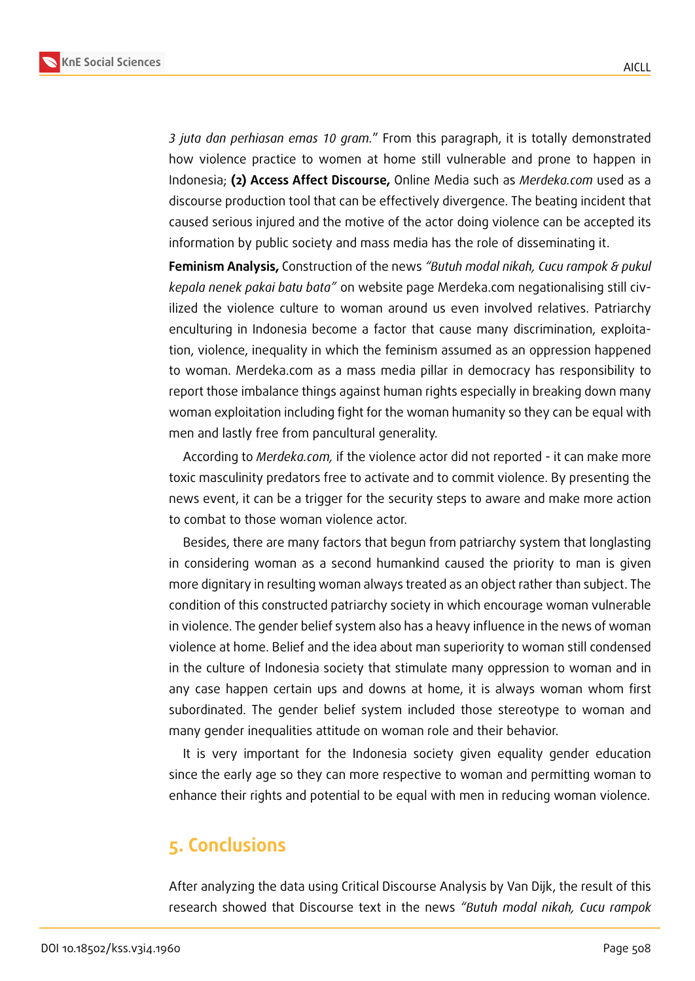

*3 juta dan perhiasan emas 10 gram.*" From this paragraph, it is totally demonstrated how violence practice to women at home still vulnerable and prone to happen in Indonesia; **(2) Access Affect Discourse,** Online Media such as *Merdeka.com* used as a discourse production tool that can be effectively divergence. The beating incident that caused serious injured and the motive of the actor doing violence can be accepted its information by public society and mass media has the role of disseminating it.

**Feminism Analysis,** Construction of the news *"Butuh modal nikah, Cucu rampok & pukul kepala nenek pakai batu bata"* on website page Merdeka.com negationalising still civilized the violence culture to woman around us even involved relatives. Patriarchy enculturing in Indonesia become a factor that cause many discrimination, exploitation, violence, inequality in which the feminism assumed as an oppression happened to woman. Merdeka.com as a mass media pillar in democracy has responsibility to report those imbalance things against human rights especially in breaking down many woman exploitation including fight for the woman humanity so they can be equal with men and lastly free from pancultural generality.

According to *Merdeka.com,* if the violence actor did not reported - it can make more toxic masculinity predators free to activate and to commit violence. By presenting the news event, it can be a trigger for the security steps to aware and make more action to combat to those woman violence actor.

Besides, there are many factors that begun from patriarchy system that longlasting in considering woman as a second humankind caused the priority to man is given more dignitary in resulting woman always treated as an object rather than subject. The condition of this constructed patriarchy society in which encourage woman vulnerable in violence. The gender belief system also has a heavy influence in the news of woman violence at home. Belief and the idea about man superiority to woman still condensed in the culture of Indonesia society that stimulate many oppression to woman and in any case happen certain ups and downs at home, it is always woman whom first subordinated. The gender belief system included those stereotype to woman and many gender inequalities attitude on woman role and their behavior.

It is very important for the Indonesia society given equality gender education since the early age so they can more respective to woman and permitting woman to enhance their rights and potential to be equal with men in reducing woman violence.

# **5. Conclusions**

After analyzing the data using Critical Discourse Analysis by Van Dijk, the result of this research showed that Discourse text in the news *"Butuh modal nikah, Cucu rampok*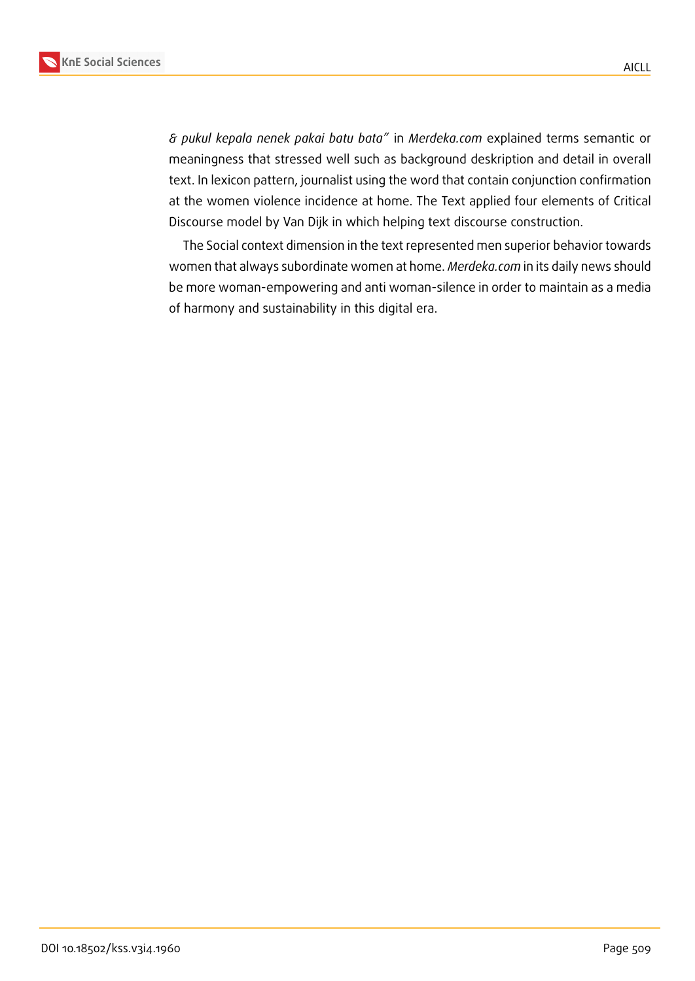*& pukul kepala nenek pakai batu bata"* in *Merdeka.com* explained terms semantic or meaningness that stressed well such as background deskription and detail in overall text. In lexicon pattern, journalist using the word that contain conjunction confirmation at the women violence incidence at home. The Text applied four elements of Critical Discourse model by Van Dijk in which helping text discourse construction.

The Social context dimension in the text represented men superior behavior towards women that always subordinate women at home. *Merdeka.com* in its daily news should be more woman-empowering and anti woman-silence in order to maintain as a media of harmony and sustainability in this digital era.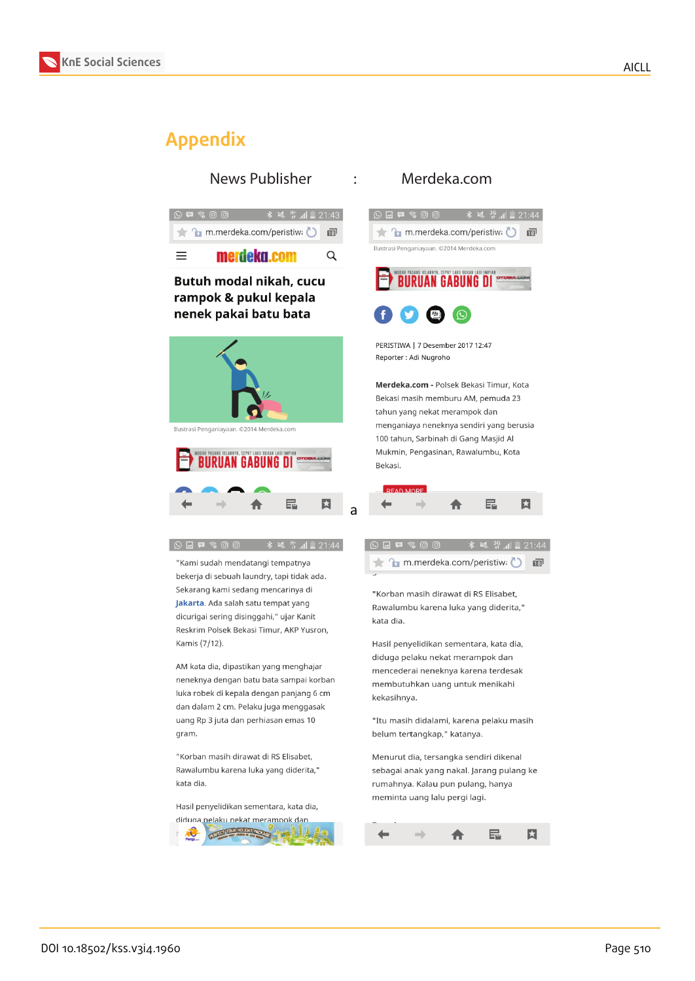

# **Appendix**

 $\frac{1}{2}$   $\frac{1}{2}$   $\frac{1}{2}$   $\frac{1}{2}$   $\frac{1}{2}$   $\frac{1}{2}$   $\frac{1}{2}$   $\frac{1}{2}$   $\frac{1}{2}$   $\frac{1}{2}$   $\frac{1}{2}$   $\frac{1}{2}$   $\frac{1}{2}$   $\frac{1}{2}$   $\frac{1}{2}$   $\frac{1}{2}$   $\frac{1}{2}$   $\frac{1}{2}$   $\frac{1}{2}$   $\frac{1}{2}$   $\frac{1}{2}$   $\frac{1}{2}$  m.merdeka.com/peristiwa 同  $\equiv$ merdeka.com Q

#### Butuh modal nikah, cucu rampok & pukul kepala nenek pakai batu bata



 $\begin{picture}(150,10) \put(0,0){\line(1,0){10}} \put(15,0){\line(1,0){10}} \put(15,0){\line(1,0){10}} \put(15,0){\line(1,0){10}} \put(15,0){\line(1,0){10}} \put(15,0){\line(1,0){10}} \put(15,0){\line(1,0){10}} \put(15,0){\line(1,0){10}} \put(15,0){\line(1,0){10}} \put(15,0){\line(1,0){10}} \put(15,0){\line(1,0){10}} \put(15,0){\line($ 

Kamis (7/12).

gram.

kata dia.



"Kami sudah mendatangi tempatnya bekerja di sebuah laundry, tapi tidak ada. Sekarang kami sedang mencarinya di

Jakarta. Ada salah satu tempat yang

dicurigai sering disinggahi," ujar Kanit

Reskrim Polsek Bekasi Timur, AKP Yusron,

AM kata dia, dipastikan yang menghajar

neneknya dengan batu bata sampai korban

luka robek di kepala dengan panjang 6 cm

dan dalam 2 cm. Pelaku juga menggasak uang Rp 3 juta dan perhiasan emas 10

"Korban masih dirawat di RS Elisabet,

Rawalumbu karena luka yang diderita,"

Hasil penyelidikan sementara, kata dia, diduga pelaku nekat merampok dan

 $\frac{1}{2}$   $\frac{1}{2}$   $\frac{1}{2}$   $\frac{1}{2}$   $\frac{1}{2}$   $\frac{1}{2}$  21:44

#### News Publisher : Merdeka.com



PERISTIWA | 7 Desember 2017 12:47 Reporter : Adi Nugroho

Merdeka.com - Polsek Bekasi Timur, Kota Bekasi masih memburu AM, pemuda 23 tahun yang nekat merampok dan menganiaya neneknya sendiri yang berusia 100 tahun, Sarbinah di Gang Masjid Al Mukmin, Pengasinan, Rawalumbu, Kota Bekasi.



|  | $O$ $I$ $I$ $R$ $S$ $O$ $O$ |  |                                |  |  | $\frac{1}{2}$ $\frac{1}{2}$ $\frac{36}{11}$ $\frac{1}{2}$ 21:44 |  |
|--|-----------------------------|--|--------------------------------|--|--|-----------------------------------------------------------------|--|
|  |                             |  | ★ fm.merdeka.com/peristiw: D 面 |  |  |                                                                 |  |

"Korban masih dirawat di RS Elisabet. Rawalumbu karena luka yang diderita," kata dia.

Hasil penyelidikan sementara, kata dia, diduga pelaku nekat merampok dan mencederai neneknya karena terdesak membutuhkan uang untuk menikahi kekasihnya.

"Itu masih didalami, karena pelaku masih belum tertangkap," katanya.

Menurut dia, tersangka sendiri dikenal sebagai anak yang nakal. Jarang pulang ke rumahnya. Kalau pun pulang, hanya meminta uang lalu pergi lagi.